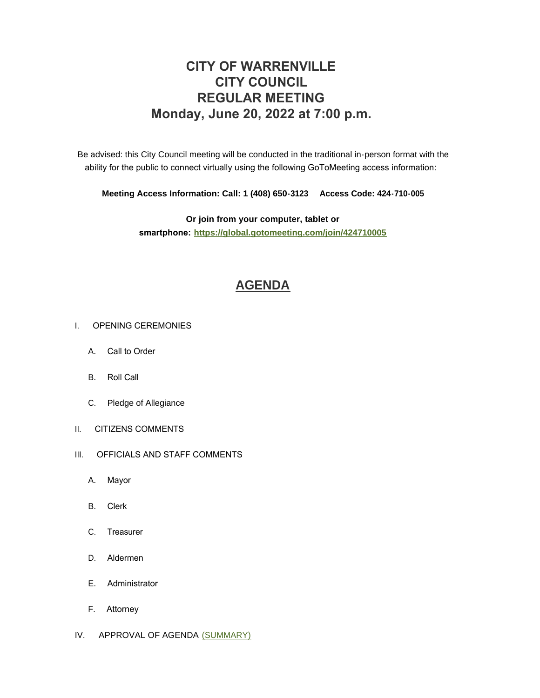# **CITY OF WARRENVILLE CITY COUNCIL REGULAR MEETING Monday, June 20, 2022 at 7:00 p.m.**

Be advised: this City Council meeting will be conducted in the traditional in-person format with the ability for the public to connect virtually using the following GoToMeeting access information:

**Meeting Access Information: Call: 1 (408) 650-3123 Access Code: 424-710-005**

**Or join from your computer, tablet or smartphone: <https://global.gotomeeting.com/join/424710005>**

# **[AGENDA](https://www.warrenville.il.us/DocumentCenter/View/19288/06-20-22--Agenda-Packet-PDF)**

### I. OPENING CEREMONIES

- A. Call to Order
- B. Roll Call
- C. Pledge of Allegiance
- II. CITIZENS COMMENTS
- III. OFFICIALS AND STAFF COMMENTS
	- A. Mayor
	- B. Clerk
	- C. Treasurer
	- D. Aldermen
	- E. Administrator
	- F. Attorney
- IV. APPROVAL OF AGENDA [\(SUMMARY\)](https://www.warrenville.il.us/DocumentCenter/View/19290/06-20-22-Summary-PDF)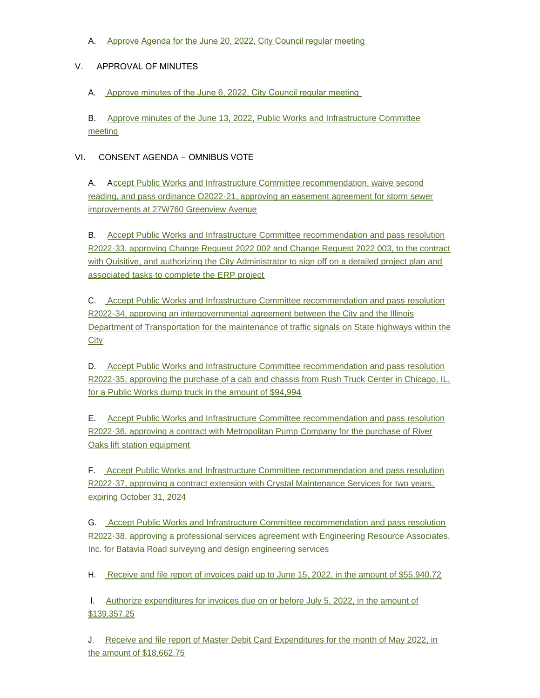A. [Approve Agenda for the June 20, 2022, City Council regular meeting](https://www.warrenville.il.us/DocumentCenter/View/19289/06-20-22--Agenda-PDF) 

## V. APPROVAL OF MINUTES

A. [Approve minutes of the June 6, 2022, City Council regular meeting](https://www.warrenville.il.us/DocumentCenter/View/19291/VA-06-06-22-Regular-Council-Minutes-PDF) 

B. [Approve minutes of the June 13, 2022, Public Works and Infrastructure Committee](https://www.warrenville.il.us/DocumentCenter/View/19292/VB-6-13-22-PW_I-COW-Minutes-PDF)  meeting

## VI. CONSENT AGENDA – OMNIBUS VOTE

A. Accept Public Works and Infrastructure Committee recommendation, waive second readin[g, and pass ordinance O2022-21, approving an easement agreement for storm sewer](https://www.warrenville.il.us/DocumentCenter/View/19293/VIA-O2022-21-Approving-Easement-Agreement-Greenview-Ave-Storm-Stewer-Improvements-PDF)  improvements at 27W760 Greenview Avenue

B. Accept Public Works and Infrastructure Committee recommendation and pass resolution R202[2-33, approving Change Request 2022 002 and Change Request 2022 003, to the contract](https://www.warrenville.il.us/DocumentCenter/View/19294/VIB-R2022-33-Approving-Change-Orders-with-Quisitive-for-ERP-Implementation-PDF)  with Quisitive, and authorizing the City Administrator to sign off on a detailed project plan and associated tasks to complete the ERP project

C. [A](https://www.warrenville.il.us/DocumentCenter/View/19295/VIC-R2022-34-Approving-IGA-with-IDOT-re-Traffic-Signals-PDF)ccept Public Works and Infrastructure Committee recommendation and pass resolution R2022-34, approving an intergovernmental agreement between the City and the Illinois Dep[artment of Transportation for the maintenance of traffic signals on State highways within the](https://www.warrenville.il.us/DocumentCenter/View/19295/VIC-R2022-34-Approving-IGA-with-IDOT-re-Traffic-Signals-PDF)  **City** 

D. [A](https://www.warrenville.il.us/DocumentCenter/View/19296/VID-R2022-35-Approving-Purchase-of-Dump-Truck-Cab-and-Chassis-from-Rush-Truck-Center-PDF)ccept Public Works and Infrastructure Committee recommendation and pass resolution R202[2-35, approving the purchase of a cab and chassis from Rush Truck Center in Chicago, IL,](https://www.warrenville.il.us/DocumentCenter/View/19296/VID-R2022-35-Approving-Purchase-of-Dump-Truck-Cab-and-Chassis-from-Rush-Truck-Center-PDF)  for a Public Works dump truck in the amount of \$94,994

E. [Accept Public Works and Infrastructure Committee recommendation and pass resolution](https://www.warrenville.il.us/DocumentCenter/View/19297/VIE-R2022-36-Approving-Purchase-of-River-Oaks-Lift-Station-Equip-Metropolitan-Pump-PDF)  R2022-36, approving a contract with Metropolitan Pump Company for the purchase of River Oaks lift station equipment

F. [Accept Public Works and Infrastructure Committee recommendation and pass resolution](https://www.warrenville.il.us/DocumentCenter/View/19298/VIF-R2022-37-Approving-Third-Amendment-to-Crystal-Maintenance-Services-Contract-PDF)  R2022-37, approving a contract extension with Crystal Maintenance Services for two years, expiring October 31, 2024

G. Accept Public Works and Infrastructure Committee recommendation and pass resolution R202[2-38, approving a professional services agreement with Engineering Resource Associates,](https://www.warrenville.il.us/DocumentCenter/View/19299/VIG-R2022-38-Approving-Agreement-for-Survey-Design-Engineering-Batavia-Road-Sidewalk-PDF)  Inc. for Batavia Road surveying and design engineering services

H. [Receive and file report of invoices paid up to June 15, 2022, in the amount of \\$55,940.72](https://www.warrenville.il.us/DocumentCenter/View/19300/VIH-Paid-Invoices-up-to-06-15-22-PDF)

 I. [Authorize expenditures for invoices due on or before July 5, 2022, in the amount of](https://www.warrenville.il.us/DocumentCenter/View/19301/VII-Invoices-Due-on-or-Before-07-05-22-PDF)  \$139,357.25

J. [Receive and file report of Master Debit Card Expenditures for the month of May 2022, in](https://www.warrenville.il.us/DocumentCenter/View/19302/VIJ-Master-Debit-Card-Expenditures-for-the-Month-of-May-2022-PDF)  the amount of \$18,662.75